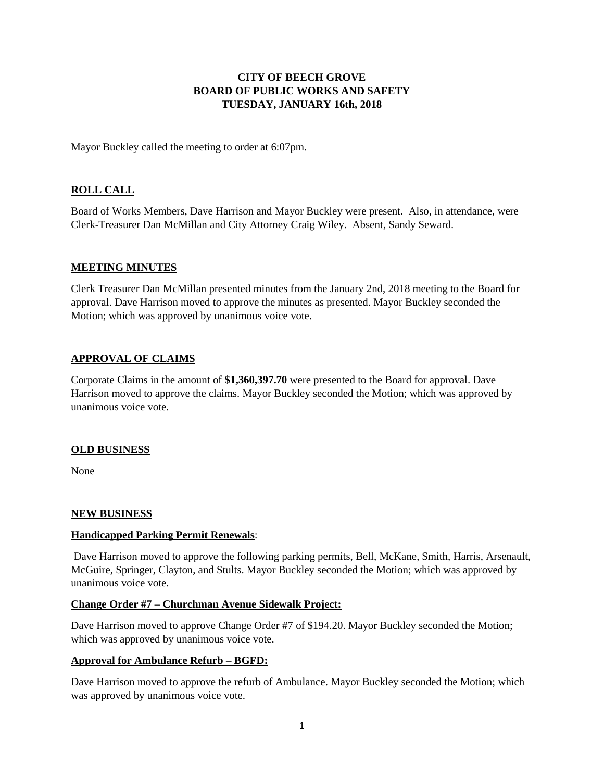## **CITY OF BEECH GROVE BOARD OF PUBLIC WORKS AND SAFETY TUESDAY, JANUARY 16th, 2018**

Mayor Buckley called the meeting to order at 6:07pm.

# **ROLL CALL**

Board of Works Members, Dave Harrison and Mayor Buckley were present. Also, in attendance, were Clerk-Treasurer Dan McMillan and City Attorney Craig Wiley. Absent, Sandy Seward.

#### **MEETING MINUTES**

Clerk Treasurer Dan McMillan presented minutes from the January 2nd, 2018 meeting to the Board for approval. Dave Harrison moved to approve the minutes as presented. Mayor Buckley seconded the Motion; which was approved by unanimous voice vote.

### **APPROVAL OF CLAIMS**

Corporate Claims in the amount of **\$1,360,397.70** were presented to the Board for approval. Dave Harrison moved to approve the claims. Mayor Buckley seconded the Motion; which was approved by unanimous voice vote.

#### **OLD BUSINESS**

None

#### **NEW BUSINESS**

#### **Handicapped Parking Permit Renewals**:

Dave Harrison moved to approve the following parking permits, Bell, McKane, Smith, Harris, Arsenault, McGuire, Springer, Clayton, and Stults. Mayor Buckley seconded the Motion; which was approved by unanimous voice vote.

#### **Change Order #7 – Churchman Avenue Sidewalk Project:**

Dave Harrison moved to approve Change Order #7 of \$194.20. Mayor Buckley seconded the Motion; which was approved by unanimous voice vote.

#### **Approval for Ambulance Refurb – BGFD:**

Dave Harrison moved to approve the refurb of Ambulance. Mayor Buckley seconded the Motion; which was approved by unanimous voice vote.